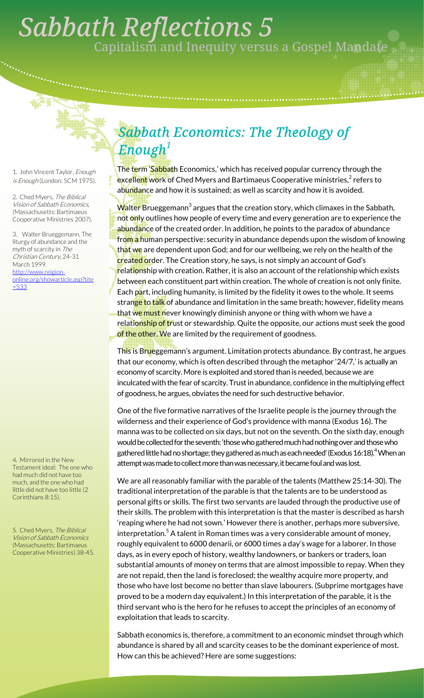## . *Sabbath Reflections 5*  Capitalism and Inequity versus a Gospel Mandate

1. John Vincent Taylor, Enough is Enough (London: SCM 1975).

2. Ched Myers, The Biblical Vision of Sabbath Economics, (Massachusetts: Bartimaeus Cooperative Ministries 2007).

3. Walter Brueggemann, The liturgy of abundance and the myth of scarcity in The Christian Century, 24-31 March 1999. http://www.reigiononline.org/showarticle.asp?tite =533

4. Mirrored in the New Testament ideal: The one who had much did not have too much, and the one who had little did not have too little (2 Corinthians 8:15).

5. Ched Myers, The Biblical Vision of Sabbath Economics (Massachusetts: Bartimaeus Cooperative Ministries) 38-45.

## *Sabbath Economics: The Theology of Enough<sup>1</sup>*

The term 'Sabbath Economics,' which has received popular currency through the excellent work of Ched Myers and Bartimaeus Cooperative ministries,<sup>2</sup> refers to abundance and how it is sustained; as well as scarcity and how it is avoided.

Walter Brueggemann $^3$  argues that the creation story, which climaxes in the Sabbath, not only outlines how people of every time and every generation are to experience the abundance of the created order. In addition, he points to the paradox of abundance fr<mark>om a</mark> human perspective: security in abundance depends upon the wisdom of knowing th<mark>at we</mark> are dependent upon God; and for our wellbeing, we rely on the health of the created order. The Creation story, he says, is not simply an account of God's relationship with creation. Rather, it is also an account of the relationship which exists between each constituent part within creation. The whole of creation is not only finite. Each part, including humanity, is limited by the fidelity it owes to the whole. It seems stran<mark>ge to talk</mark> of abundance and limitation in the same breath; however, fidelity means that we must never knowingly diminish anyone or thing with whom we have a relati<mark>onship of tr</mark>ust or stewardship. Quite the opposite, our actions must seek the good of the other. We are limited by the requirement of goodness.

This is Brueggemann's argument. Limitation protects abundance. By contrast, he argues that our economy, which is often described through the metaphor '24/7,' is actually an economy of scarcity. More is exploited and stored than is needed, because we are inculcated with the fear of scarcity. Trust in abundance, confidence in the multiplying effect of goodness, he argues, obviates the need for such destructive behavior.

One of the five formative narratives of the Israelite people is the journey through the wilderness and their experience of God's providence with manna (Exodus 16). The manna was to be collected on six days, but not on the seventh. On the sixth day, enough would be collected for the seventh: 'those who gathered much had nothing over and those who gathered little had no shortage; they gathered as much as each needed' (Exodus 16:18). $^4$  When an attempt was made to collect more than was necessary, it became foul and was lost.

We are all reasonably familiar with the parable of the talents (Matthew 25:14-30). The traditional interpretation of the parable is that the talents are to be understood as personal gifts or skills. The first two servants are lauded through the productive use of their skills. The problem with this interpretation is that the master is described as harsh 'reaping where he had not sown.' However there is another, perhaps more subversive, interpretation. $^5$  A talent in Roman times was a very considerable amount of money, roughly equivalent to 6000 denarii, or 6000 times a day's wage for a laborer. In those days, as in every epoch of history, wealthy landowners, or bankers or traders, loan substantial amounts of money on terms that are almost impossible to repay. When they are not repaid, then the land is foreclosed; the wealthy acquire more property, and those who have lost become no better than slave labourers. (Subprime mortgages have proved to be a modern day equivalent.) In this interpretation of the parable, it is the third servant who is the hero for he refuses to accept the principles of an economy of exploitation that leads to scarcity.

Sabbath economics is, therefore, a commitment to an economic mindset through which abundance is shared by all and scarcity ceases to be the dominant experience of most. How can this be achieved? Here are some suggestions: